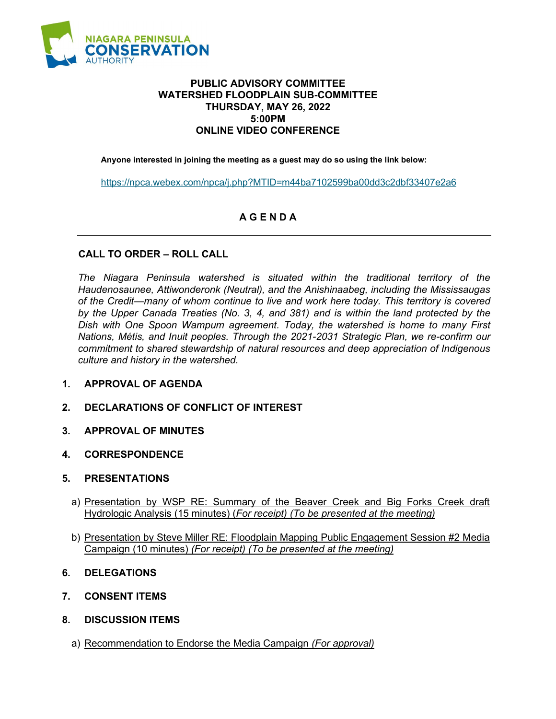

## **PUBLIC ADVISORY COMMITTEE WATERSHED FLOODPLAIN SUB-COMMITTEE THURSDAY, MAY 26, 2022 5:00PM ONLINE VIDEO CONFERENCE**

**Anyone interested in joining the meeting as a guest may do so using the link below:**

<https://npca.webex.com/npca/j.php?MTID=m44ba7102599ba00dd3c2dbf33407e2a6>

## **A G E N D A**

## **CALL TO ORDER – ROLL CALL**

*The Niagara Peninsula watershed is situated within the traditional territory of the Haudenosaunee, Attiwonderonk (Neutral), and the Anishinaabeg, including the Mississaugas of the Credit—many of whom continue to live and work here today. This territory is covered by the Upper Canada Treaties (No. 3, 4, and 381) and is within the land protected by the Dish with One Spoon Wampum agreement. Today, the watershed is home to many First Nations, Métis, and Inuit peoples. Through the 2021-2031 Strategic Plan, we re-confirm our commitment to shared stewardship of natural resources and deep appreciation of Indigenous culture and history in the watershed.*

- **1. APPROVAL OF AGENDA**
- **2. DECLARATIONS OF CONFLICT OF INTEREST**
- **3. APPROVAL OF MINUTES**
- **4. CORRESPONDENCE**
- **5. PRESENTATIONS**
	- a) Presentation by WSP RE: Summary of the Beaver Creek and Big Forks Creek draft Hydrologic Analysis (15 minutes) (*For receipt) (To be presented at the meeting)*
	- b) Presentation by Steve Miller RE: Floodplain Mapping Public Engagement Session #2 Media Campaign (10 minutes) *(For receipt) (To be presented at the meeting)*
- **6. DELEGATIONS**
- **7. CONSENT ITEMS**
- **8. DISCUSSION ITEMS**
	- a) Recommendation to Endorse the Media Campaign *(For approval)*